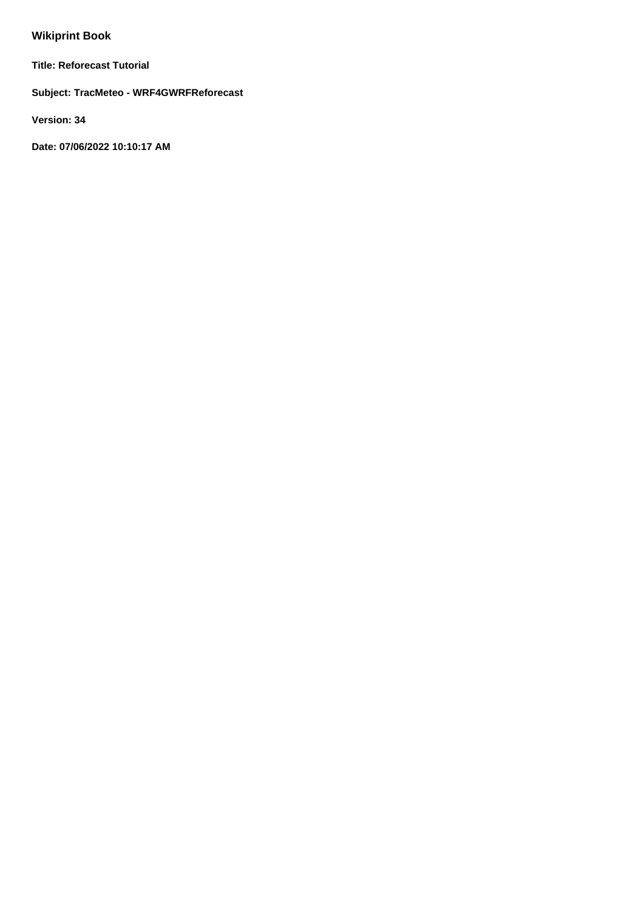# **Wikiprint Book**

**Title: Reforecast Tutorial**

**Subject: TracMeteo - WRF4GWRFReforecast**

**Version: 34**

**Date: 07/06/2022 10:10:17 AM**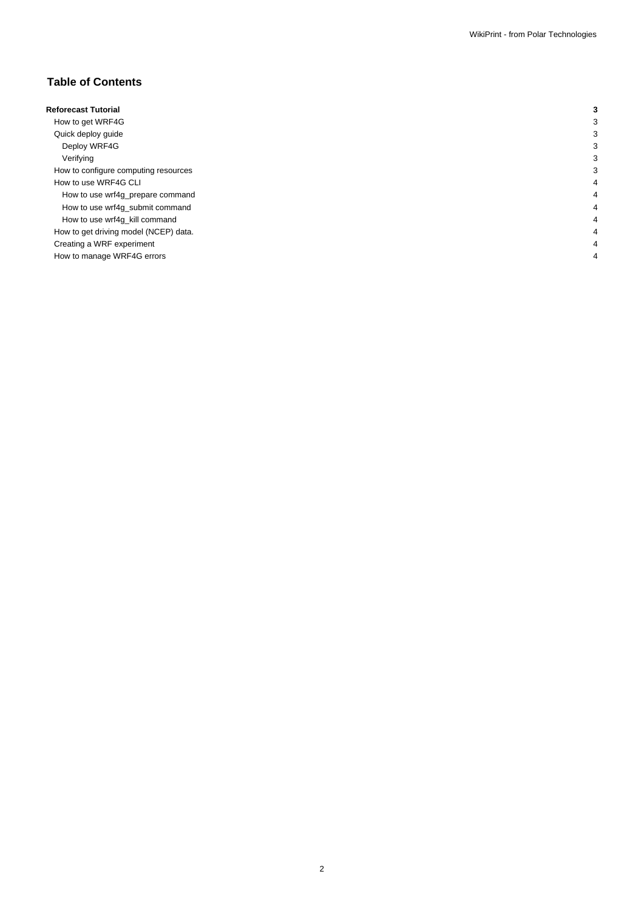## **Table of Contents**

| <b>Reforecast Tutorial</b>            | 3 |
|---------------------------------------|---|
| How to get WRF4G                      | 3 |
| Quick deploy guide                    | 3 |
| Deploy WRF4G                          | 3 |
| Verifying                             | 3 |
| How to configure computing resources  | 3 |
| How to use WRF4G CLI                  | 4 |
| How to use wrf4g_prepare command      | 4 |
| How to use wrf4g_submit command       | 4 |
| How to use wrf4g_kill command         | 4 |
| How to get driving model (NCEP) data. | 4 |
| Creating a WRF experiment             | 4 |
| How to manage WRF4G errors            | 4 |
|                                       |   |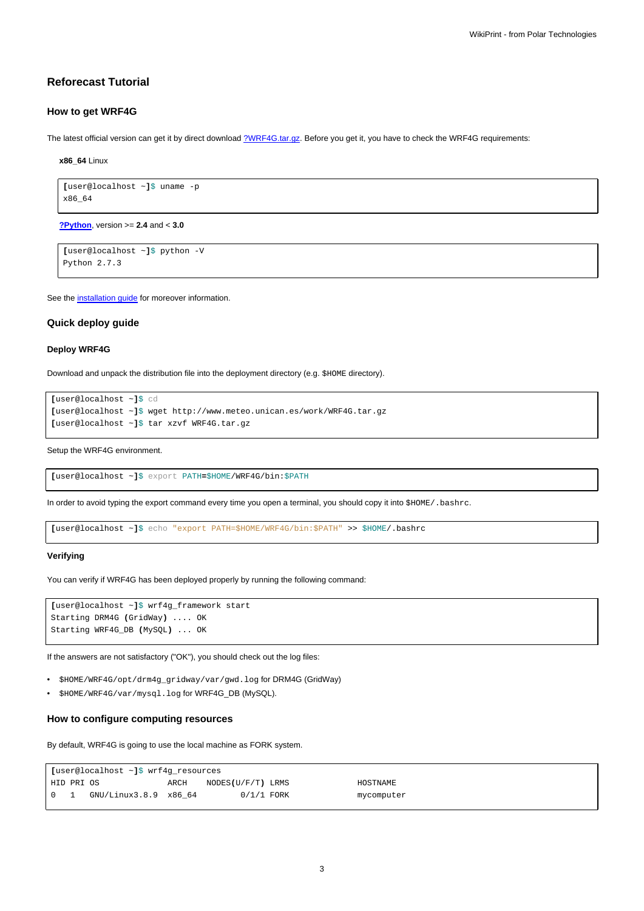## **Reforecast Tutorial**

### **How to get WRF4G**

The latest official version can get it by direct download [?WRF4G.tar.gz](http://www.meteo.macc.unican.es/work/WRF4G.tar.gz). Before you get it, you have to check the WRF4G requirements:

**x86\_64** Linux

```
[user@localhost ~]$ uname -p
x86_64
```
**[?Python](http://www.python.org/)**, version >= **2.4** and < **3.0**

```
[user@localhost ~]$ python -V
Python 2.7.3
```
See the [installation guide](https://meteo.unican.es/trac/wiki/WRF4GInstall) for moreover information.

#### **Quick deploy guide**

#### **Deploy WRF4G**

Download and unpack the distribution file into the deployment directory (e.g. \$HOME directory).

```
[user@localhost ~]$ cd
[user@localhost ~]$ wget http://www.meteo.unican.es/work/WRF4G.tar.gz
[user@localhost ~]$ tar xzvf WRF4G.tar.gz
```
Setup the WRF4G environment.

**[**user@localhost ~**]**\$ export PATH**=**\$HOME/WRF4G/bin:\$PATH

In order to avoid typing the export command every time you open a terminal, you should copy it into \$HOME/.bashrc.

**[**user@localhost ~**]**\$ echo "export PATH=\$HOME/WRF4G/bin:\$PATH" >> \$HOME/.bashrc

#### **Verifying**

You can verify if WRF4G has been deployed properly by running the following command:

```
[user@localhost ~]$ wrf4g_framework start
Starting DRM4G (GridWay) .... OK
Starting WRF4G_DB (MySQL) ... OK
```
If the answers are not satisfactory ("OK"), you should check out the log files:

- \$HOME/WRF4G/opt/drm4g\_gridway/var/gwd.log for DRM4G (GridWay)
- \$HOME/WRF4G/var/mysql.log for WRF4G\_DB (MySQL).

## **How to configure computing resources**

By default, WRF4G is going to use the local machine as FORK system.

| [user@localhost ~]\$ wrf4g_resources           |  |                       |      |                   |  |            |  |
|------------------------------------------------|--|-----------------------|------|-------------------|--|------------|--|
| HID PRI OS                                     |  |                       | ARCH | NODES(U/F/T) LRMS |  | HOSTNAME   |  |
| $\begin{array}{ccc} \circ & \circ \end{array}$ |  | GNU/Linux3.8.9 x86 64 |      | $0/1/1$ FORK      |  | mycomputer |  |